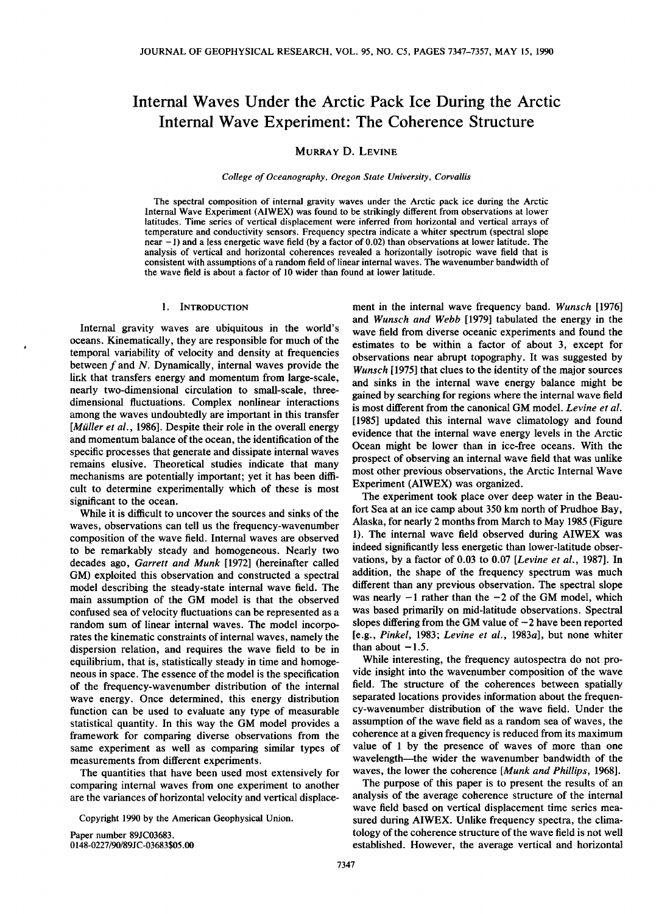# **Internal Waves Under the Arctic Pack Ice During the Arctic Internal Wave Experiment: The Coherence Structure**

## **MURRAY D. LEVINE**

**College of Oceanography, Oregon State University, Corvallis** 

**The spectral composition of internal gravity waves under the Arctic pack ice during the Arctic Internal Wave Experiment (AIWEX) was found to be strikingly different from observations at lower latitudes. Time series of vertical displacement were inferred from horizontal and vertical arrays of temperature and conductivity sensors. Frequency spectra indicate a whiter spectrum (spectral slope near -1) and a less energetic wave field (by a factor of 0.02) than observations at lower latitude. The analysis of vertical and horizontal coherences revealed a horizontally isotropic wave field that is consistent with assumptions of a random field of linear internal waves. The wavenumber bandwidth of the wave field is about a factor of 10 wider than found at lower latitude.** 

## **1. INTRODUCTION**

**Internal gravity waves are ubiquitous in the world's oceans. Kinematically, they are responsible for much of the temporal variability of velocity and density at frequencies between f and N. Dynamically, internal waves provide the link that transfers energy and momentum from large-scale, nearly two-dimensional circulation to small-scale, threedimensional fluctuations. Complex nonlinear interactions among the waves undoubtedly are important in this transfer [Miiller et al., 1986]. Despite their role in the overall energy and momentum balance of the ocean, the identification of the specific processes that generate and dissipate internal waves remains elusive. Theoretical studies indicate that many mechanisms are potentially important; yet it has been difficult to determine experimentally which of these is most significant to the ocean.** 

**While it is difficult to uncover the sources and sinks of the waves, observations can tell us the frequency-wavenumber composition of the wave field. Internal waves are observed to be remarkably steady and homogeneous. Nearly two decades ago, Garrett and Munk [1972] (hereinafter called GM) exploited this observation and constructed a spectral model describing the steady-state internal wave field. The main assumption of the GM model is that the observed confused sea of velocity fluctuations can be represented as a random sum of linear internal waves. The model incorporates the kinematic constraints of internal waves, namely the dispersion relation, and requires the wave field to be in equilibrium, that is, statistically steady in time and homogeneous in space. The essence of the model is the specification of the frequency-wavenumber distribution of the internal wave energy. Once determined, this energy distribution function can be used to evaluate any type of measurable statistical quantity. In this way the GM model provides a framework for comparing diverse observations from the same experiment as well as comparing similar types of measurements from different experiments.** 

**The quantities that have been used most extensively for comparing internal waves from one experiment to another are the variances of horizontal velocity and vertical displace-**

**Copyright 1990 by the American Geophysical Union.** 

**Paper number 89JC03683.**  0148-0227/90/89JC-03683\$05.00

**ment in the internal wave frequency band. Wunsch [1976] and Wunsch and Webb [1979] tabulated the energy in the wave field from diverse oceanic experiments and found the estimates to be within a factor of about 3, except for observations near abrupt topography. It was suggested by Wunsch [1975] that clues to the identity of the major sources and sinks in the internal wave energy balance might be gained by searching for regions where the internal wave field is most different from the canonical GM model. Levine et al. [1985] updated this internal wave climatology and found evidence that the internal wave energy levels in the Arctic Ocean might be lower than in ice-free oceans. With the prospect of observing an internal wave field that was unlike most other previous observations, the Arctic Internal Wave Experiment (AIWEX) was organized.** 

**The experiment took place over deep water in the Beaufort Sea at an ice camp about 350 km north of Prudhoe Bay, Alaska, for nearly 2 months from March to May 1985 (Figure 1). The internal wave field observed during AIWEX was indeed significantly less energetic than lower-latitude observations, by a factor of 0.03 to 0.07 [Levine et al., 1987]. In addition, the shape of the frequency spectrum was much different than any previous observation. The spectral slope**  was nearly  $-1$  rather than the  $-2$  of the GM model, which **was based primarily on mid-latitude observations. Spectral**  slopes differing from the GM value of  $-2$  have been reported **[e.g., Pinkel, 1983; Levine et al., 1983a], but none whiter**  than about  $-1.5$ .

**While interesting, the frequency autospectra do not provide insight into the wavenumber composition of the wave field. The structure of the coherences between spatially separated locations provides information about the frequency-wavenumber distribution of the wave field. Under the assumption of the wave field as a random sea of waves, the coherence at a given frequency is reduced from its maximum value of 1 by the presence of waves of more than one**  wavelength—the wider the wavenumber bandwidth of the **waves, the lower the coherence [Munk and Phillips, 1968].** 

**The purpose of this paper is to present the results of an analysis of the average coherence structure of the internal wave field based on vertical displacement time series measured during AIWEX. Unlike frequency spectra, the climatology of the coherence structure of the wave field is not well established. However, the average vertical and horizontal**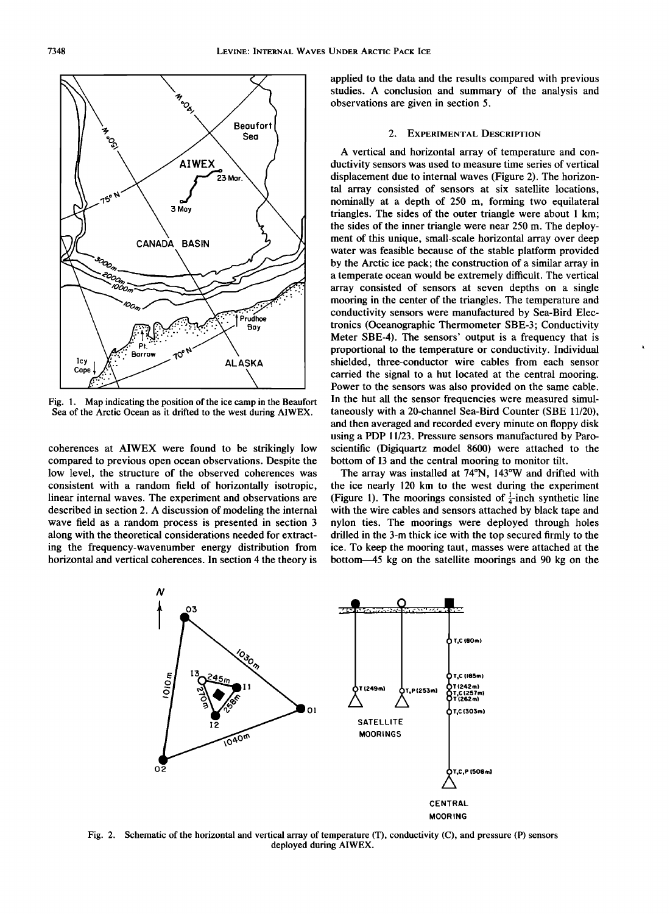

**Fig. 1. Map indicating the position of the ice camp in the Beaufort Sea of the Arctic Ocean as it drifted to the west during AIWEX.** 

**coherences at AIWEX were found to be strikingly low compared to previous open ocean observations. Despite the low level, the structure of the observed coherences was consistent with a random field of horizontally isotropic, linear internal waves. The experiment and observations are described in section 2. A discussion of modeling the internal wave field as a random process is presented in section 3 along with the theoretical considerations needed for extracting the frequency-wavenumber energy distribution from horizontal and vertical coherences. In section 4 the theory is** 

**applied to the data and the results compared with previous studies. A conclusion and summary of the analysis and observations are given in section 5.** 

#### **2. EXPERIMENTAL DESCRIPTION**

**A vertical and horizontal array of temperature and conductivity sensors was used to measure time series of vertical displacement due to internal waves (Figure 2). The horizontal array consisted of sensors at six satellite locations, nominally at a depth of 250 m, forming two equilateral triangles. The sides of the outer triangle were about 1 km; the sides of the inner triangle were near 250 m. The deployment of this unique, small-scale horizontal array over deep water was feasible because of the stable platform provided by the Arctic ice pack; the construction of a similar array in a temperate ocean would be extremely difficult. The vertical array consisted of sensors at seven depths on a single mooring in the center of the triangles. The temperature and conductivity sensors were manufactured by Sea-Bird Electronics (Oceanographic Thermometer SBE-3; Conductivity Meter SBE-4). The sensors' output is a frequency that is proportional to the temperature or conductivity. Individual shielded, three-conductor wire cables from each sensor carried the signal to a hut located at the central mooring. Power to the sensors was also provided on the same cable. In the hut all the sensor frequencies were measured simultaneously with a 20-channel Sea-Bird Counter (SBE 11/20), and then averaged and recorded every minute on floppy disk using a PDP 11/23. Pressure sensors manufactured by Paroscientific (Digiquartz model 8600) were attached to the bottom of 13 and the central mooring to monitor tilt.** 

**The array was installed at 74øN, 143øW and drifted with the ice nearly 120 km to the west during the experiment (Figure 1). The moorings consisted of**  $\frac{1}{4}$ **-inch synthetic line with the wire cables and sensors attached by black tape and nylon ties. The moorings were deployed through holes drilled in the 3-m thick ice with the top secured firmly to the ice. To keep the mooring taut, masses were attached at the bottom--45 kg on the satellite moorings and 90 kg on the** 



**Fig. 2. Schematic of the horizontal and vertical array of temperature (T), conductivity (C), and pressure (P) sensors deployed during AIWEX.**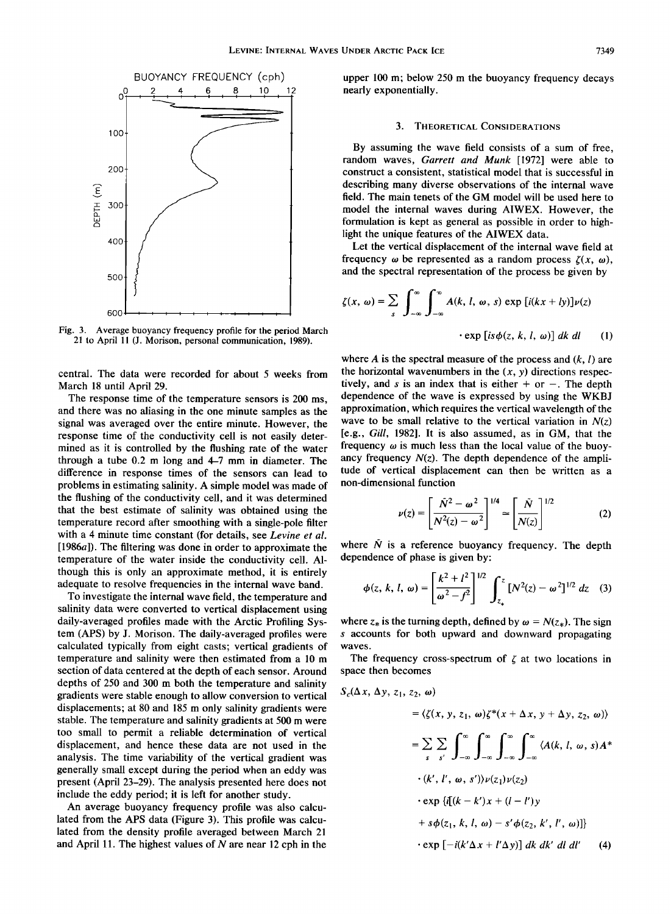

**Fig. 3. Average buoyancy frequency profile for the period March 21 to April 11 (J. Morison, personal communication, 1989).** 

**central. The data were recorded for about 5 weeks from March 18 until April 29.** 

**The response time of the temperature sensors is 200 ms, and there was no aliasing in the one minute samples as the signal was averaged over the entire minute. However, the response time of the conductivity cell is not easily determined as it is controlled by the flushing rate of the water through a tube 0.2 m long and 4-7 mm in diameter. The difference in response times of the sensors can lead to problems in estimating salinity. A simple model was made of the flushing of the conductivity cell, and it was determined that the best estimate of salinity was obtained using the temperature record after smoothing with a single-pole filter with a 4 minute time constant (for details, see Levine et al. [1986a]). The filtering was done in order to approximate the temperature of the water inside the conductivity cell. Although this is only an approximate method, it is entirely adequate to resolve frequencies in the internal wave band.** 

**To investigate the internal wave field, the temperature and salinity data were converted to vertical displacement using daily-averaged profiles made with the Arctic Profiling System (APS) by J. Morison. The daily-averaged profiles were calculated typically from eight casts; vertical gradients of temperature and salinity were then estimated from a 10 m section of data centered at the depth of each sensor. Around depths of 250 and 300 m both the temperature and salinity gradients were stable enough to allow conversion to vertical displacements; at 80 and 185 m only salinity gradients were stable. The temperature and salinity gradients at 500 m were too small to permit a reliable determination of vertical displacement, and hence these data are not used in the analysis. The time variability of the vertical gradient was generally small except during the period when an eddy was present (April 23-29). The analysis presented here does not include the eddy period; it is left for another study.** 

**An average buoyancy frequency profile was also calculated from the APS data (Figure 3). This profile was calculated from the density profile averaged between March 21 and April 11. The highest values of N are near 12 cph in the**  **upper 100 m; below 250 m the buoyancy frequency decays nearly exponentially.** 

#### **3. THEORETICAL CONSIDERATIONS**

**By assuming the wave field consists of a sum of free, random waves, Garrett and Munk [1972] were able to construct a consistent, statistical model that is successful in describing many diverse observations of the internal wave field. The main tenets of the GM model will be used here to model the internal waves during AIWEX. However, the formulation is kept as general as possible in order to highlight the unique features of the AIWEX data.** 

**Let the vertical displacement of the internal wave field at**  frequency  $\omega$  be represented as a random process  $\zeta(x, \omega)$ , **and the spectral representation of the process be given by** 

$$
\zeta(x, \omega) = \sum_{s} \int_{-\infty}^{\infty} \int_{-\infty}^{\infty} A(k, l, \omega, s) \exp [i(kx + ly)] \nu(z)
$$
  
 
$$
\cdot \exp [is\phi(z, k, l, \omega)] dk dl
$$
 (1)

where  $A$  is the spectral measure of the process and  $(k, l)$  are the horizontal wavenumbers in the  $(x, y)$  directions respectively, and s is an index that is either  $+$  or  $-$ . The depth **dependence of the wave is expressed by using the WKBJ approximation, which requires the vertical wavelength of the**  wave to be small relative to the vertical variation in  $N(z)$ **[e.g., Gill, 1982]. It is also assumed, as in GM, that the**  frequency  $\omega$  is much less than the local value of the buoyancy frequency  $N(z)$ . The depth dependence of the ampli**tude of vertical displacement can then be written as a non-dimensional function** 

$$
\nu(z) = \left[\frac{\tilde{N}^2 - \omega^2}{N^2(z) - \omega^2}\right]^{1/4} \approx \left[\frac{\tilde{N}}{N(z)}\right]^{1/2}
$$
 (2)

where  $\tilde{N}$  is a reference buoyancy frequency. The depth **dependence of phase is given by:** 

$$
\phi(z, k, l, \omega) = \left[\frac{k^2 + l^2}{\omega^2 - f^2}\right]^{1/2} \int_{z_*}^{z} [N^2(z) - \omega^2]^{1/2} dz \quad (3)
$$

where  $z_*$  is the turning depth, defined by  $\omega = N(z_*)$ . The sign **s accounts for both upward and downward propagating waves.** 

The frequency cross-spectrum of  $\zeta$  at two locations in **space then becomes** 

$$
S_c(\Delta x, \Delta y, z_1, z_2, \omega)
$$
  
=  $\langle \zeta(x, y, z_1, \omega) \zeta^*(x + \Delta x, y + \Delta y, z_2, \omega) \rangle$   
=  $\sum_{s} \sum_{s'} \int_{-\infty}^{\infty} \int_{-\infty}^{\infty} \int_{-\infty}^{\infty} \int_{-\infty}^{\infty} \langle A(k, l, \omega, s) A^* \cdot (k', l', \omega, s') \rangle \nu(z_1) \nu(z_2)$   
 $\cdot \exp{\{[[(k - k')x + (l - l')y + s\phi(z_1, k, l, \omega) - s'\phi(z_2, k', l', \omega)]\}}$   
 $\cdot \exp[-i(k'\Delta x + l'\Delta y)] dk dk' dl dl' (4)$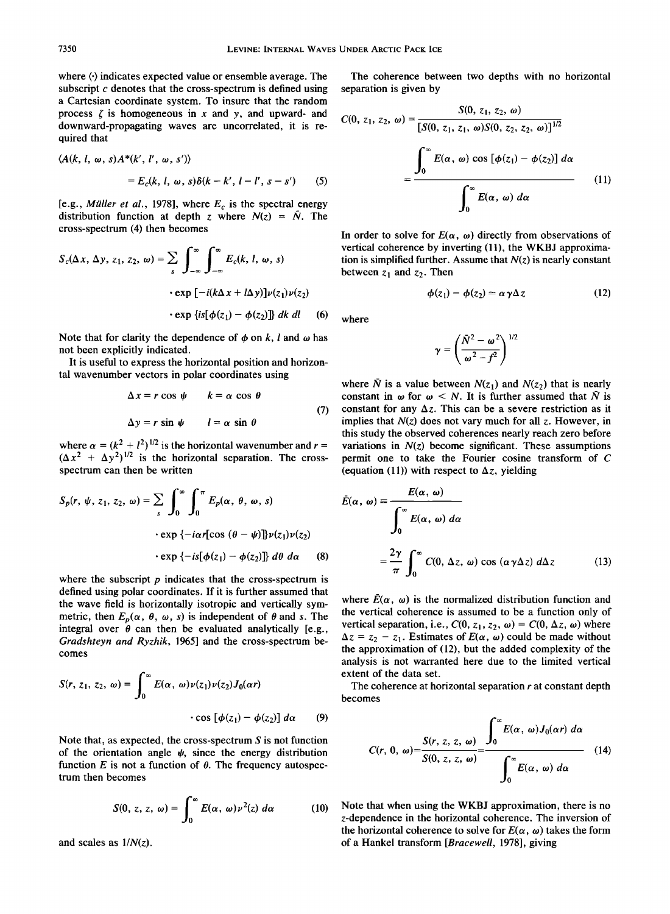**where (-) indicates expected value or ensemble average. The subscript c denotes that the cross-spectrum is defined using a Cartesian coordinate system. To insure that the random**  process  $\zeta$  is homogeneous in x and y, and upward- and **downward-propagating waves are uncorrelated, it is required that** 

$$
\langle A(k, l, \omega, s) A^*(k', l', \omega, s') \rangle
$$
  
=  $E_c(k, l, \omega, s) \delta(k - k', l - l', s - s')$  (5)

[e.g., *Müller et al.*, 1978], where  $E_c$  is the spectral energy distribution function at depth z where  $N(z) = N$ . The **cross-spectrum (4) then becomes** 

$$
S_c(\Delta x, \Delta y, z_1, z_2, \omega) = \sum_{s} \int_{-\infty}^{\infty} \int_{-\infty}^{\infty} E_c(k, l, \omega, s)
$$
  
\n
$$
\begin{aligned}\n\text{vertical coherence by inverting (11), the WKBJ approximations} \\
\text{tion is simplified further. Assume that } N(z) \text{ is nearly constant} \\
\text{between } z_1 \text{ and } z_2. \text{ Then} \\
\text{exp}\left[-i(k\Delta x + l\Delta y)\right] \nu(z_1)\nu(z_2) \\
\text{exp}\left\{is[\phi(z_1) - \phi(z_2)]\right\} dk \, dl\n\end{aligned}
$$
\n
$$
(12)
$$
\nwhere\n
$$
\begin{aligned}\n\text{Vertical coherence by inverting (11), the WKBJ approximations} \\
\text{of the initial conditions, } \omega_z = \omega \sqrt{\Delta z}.\n\end{aligned}
$$

Note that for clarity the dependence of  $\phi$  on k, l and  $\omega$  has **not been explicitly indicated.** 

**It is useful to express the horizontal position and horizontal wavenumber vectors in polar coordinates using** 

$$
\Delta x = r \cos \psi \qquad k = \alpha \cos \theta
$$
  

$$
\Delta y = r \sin \psi \qquad l = \alpha \sin \theta
$$
 (7)

where  $\alpha = (k^2 + l^2)^{1/2}$  is the horizontal wavenumber and  $r =$  $(\Delta x^2 + \Delta y^2)^{1/2}$  is the horizontal separation. The cross**spectrum can then be written** 

$$
S_p(r, \psi, z_1, z_2, \omega) = \sum_{s} \int_0^{\infty} \int_0^{\pi} E_p(\alpha, \theta, \omega, s)
$$

$$
\cdot \exp \{-i\alpha r [\cos (\theta - \psi)] \} \nu(z_1) \nu(z_2)
$$

$$
\cdot \exp \{-is[\phi(z_1) - \phi(z_2)]\} d\theta d\alpha \quad (8)
$$

where the subscript  $p$  indicates that the cross-spectrum is **defined using polar coordinates. If it is further assumed that the wave field is horizontally isotropic and vertically sym**metric, then  $E_p(\alpha, \theta, \omega, s)$  is independent of  $\theta$  and s. The integral over  $\theta$  can then be evaluated analytically [e.g., **Gradshteyn and Ryzhik, 1965] and the cross-spectrum becomes** 

$$
S(r, z_1, z_2, \omega) = \int_0^{\infty} E(\alpha, \omega) \nu(z_1) \nu(z_2) J_0(\alpha r)
$$
  
 
$$
\cdot \cos [\phi(z_1) - \phi(z_2)] d\alpha \qquad (9)
$$

**Note that, as expected, the cross-spectrum S is not function**  of the orientation angle  $\psi$ , since the energy distribution function  $E$  is not a function of  $\theta$ . The frequency autospec**trum then becomes** 

$$
S(0, z, z, \omega) = \int_0^\infty E(\alpha, \omega) \nu^2(z) \, d\alpha \tag{10}
$$

and scales as  $1/N(z)$ .

**The coherence between two depths with no horizontal separation is given by** 

$$
C(0, z_1, z_2, \omega) = \frac{S(0, z_1, z_2, \omega)}{\left[S(0, z_1, z_1, \omega)S(0, z_2, z_2, \omega)\right]^{1/2}}
$$

$$
= \frac{\int_0^\infty E(\alpha, \omega) \cos \left[\phi(z_1) - \phi(z_2)\right] d\alpha}{\int_0^\infty E(\alpha, \omega) d\alpha} \tag{11}
$$

In order to solve for  $E(\alpha, \omega)$  directly from observations of **vertical coherence by inverting (11), the WKBJ approxima**tion is simplified further. Assume that  $N(z)$  is nearly constant between  $z_1$  and  $z_2$ . Then

$$
\phi(z_1) - \phi(z_2) \simeq \alpha \gamma \Delta z \tag{12}
$$

$$
\gamma = \left(\frac{\bar{N}^2 - \omega^2}{\omega^2 - f^2}\right)^{1/2}
$$

where  $\overline{N}$  is a value between  $N(z_1)$  and  $N(z_2)$  that is nearly constant in  $\omega$  for  $\omega < N$ . It is further assumed that  $\overline{N}$  is constant for any  $\Delta z$ . This can be a severe restriction as it implies that  $N(z)$  does not vary much for all z. However, in **this study the observed coherences nearly reach zero before variations in N(z) become significant. These assumptions permit one to take the Fourier cosine transform of C**  (equation (11)) with respect to  $\Delta z$ , yielding

$$
\bar{E}(\alpha, \omega) = \frac{E(\alpha, \omega)}{\int_0^{\infty} E(\alpha, \omega) d\alpha}
$$

$$
= \frac{2\gamma}{\pi} \int_0^{\infty} C(0, \Delta z, \omega) \cos (\alpha \gamma \Delta z) d\Delta z \qquad (13)
$$

where  $\bar{E}(\alpha, \omega)$  is the normalized distribution function and **the vertical coherence is assumed to be a function only of**  vertical separation, i.e.,  $C(0, z_1, z_2, \omega) = C(0, \Delta z, \omega)$  where  $\Delta z = z_2 - z_1$ . Estimates of  $E(\alpha, \omega)$  could be made without **the approximation of (12), but the added complexity of the analysis is not warranted here due to the limited vertical extent of the data set.** 

**The coherence at horizontal separation r at constant depth becomes** 

$$
C(r, 0, \omega) = \frac{S(r, z, z, \omega)}{S(0, z, z, \omega)} = \frac{\int_0^\infty E(\alpha, \omega) J_0(\alpha r) d\alpha}{\int_0^\infty E(\alpha, \omega) d\alpha}
$$
(14)

**(10) Note that when using the WKBJ approximation, there is no z-dependence in the horizontal coherence. The inversion of**  the horizontal coherence to solve for  $E(\alpha, \omega)$  takes the form **of a Hankel transform [Bracewell, 1978], giving**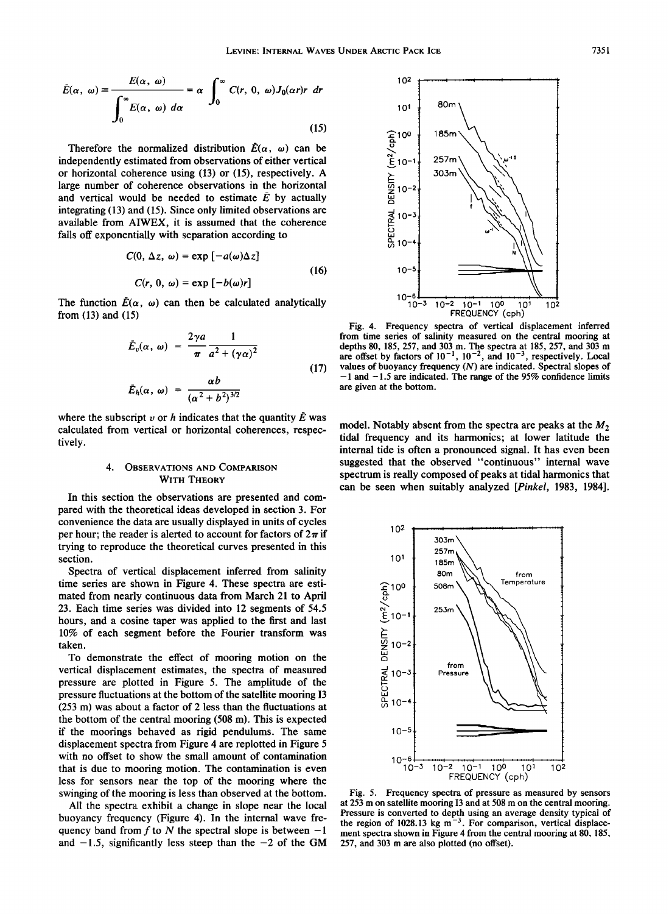$$
\bar{E}(\alpha, \omega) = \frac{E(\alpha, \omega)}{\int_0^\infty E(\alpha, \omega) \, d\alpha} = \alpha \int_0^\infty C(r, 0, \omega) J_0(\alpha r) r \, dr
$$
\n(15)

Therefore the normalized distribution  $\vec{E}(\alpha, \omega)$  can be **independently estimated from observations of either vertical or horizontal coherence using (13) or (15), respectively. A large number of coherence observations in the horizontal**  and vertical would be needed to estimate  $\overline{E}$  by actually **integrating (13) and (15). Since only limited observations are available from AIWEX, it is assumed that the coherence falls off exponentially with separation according to** 

$$
C(0, \Delta z, \omega) = \exp[-a(\omega)\Delta z]
$$
  
(16)  

$$
C(r, 0, \omega) = \exp[-b(\omega)r]
$$

The function  $\bar{E}(\alpha, \omega)$  can then be calculated analytically **from (13) and (15)** 

$$
\bar{E}_v(\alpha, \omega) = \frac{2\gamma a}{\pi} \frac{1}{a^2 + (\gamma \alpha)^2}
$$
\n
$$
\bar{E}_h(\alpha, \omega) = \frac{\alpha b}{(\alpha^2 + b^2)^{3/2}}
$$
\n(17)

where the subscript  $v$  or  $h$  indicates that the quantity  $\bar{E}$  was **calculated from vertical or horizontal coherences, respectively.** 

## **4. OBSERVATIONS AND COMPARISON WITH THEORY**

**In this section the observations are presented and compared with the theoretical ideas developed in section 3. For convenience the data are usually displayed in units of cycles**  per hour; the reader is alerted to account for factors of  $2\pi$  if **trying to reproduce the theoretical curves presented in this section.** 

**Spectra of vertical displacement inferred from salinity time series are shown in Figure 4. These spectra are estimated from nearly continuous data from March 21 to April 23. Each time series was divided into 12 segments of 54.5 hours, and a cosine taper was applied to the first and last 10% of each segment before the Fourier transform was taken.** 

**To demonstrate the effect of mooring motion on the vertical displacement estimates, the spectra of measured pressure are plotted in Figure 5. The amplitude of the pressure fluctuations at the bottom of the satellite mooring I3 (253 m) was about a factor of 2 less than the fluctuations at the bottom of the central mooring (508 m). This is expected if the moorings behaved as rigid pendulums. The same displacement spectra from Figure 4 are replotted in Figure 5 with no offset to show the small amount of contamination that is due to mooring motion. The contamination is even less for sensors near the top of the mooring where the swinging of the mooring is less than observed at the bottom.** 

**All the spectra exhibit a change in slope near the local buoyancy frequency (Figure 4). In the internal wave fre**quency band from  $f$  to  $N$  the spectral slope is between  $-1$ and  $-1.5$ , significantly less steep than the  $-2$  of the GM



**Fig. 4. Frequency spectra of vertical displacement inferred from time series of salinity measured on the central mooring at depths 80, 185, 257, and 303 m. The spectra at 185,257, and 303 m**  are offset by factors of  $10^{-1}$ ,  $10^{-2}$ , and  $10^{-3}$ , respectively. Local **values of buoyancy frequency (N) are indicated. Spectral slopes of -1 and -1.5 are indicated. The range of the 95% confidence limits are given at the bottom.** 

model. Notably absent from the spectra are peaks at the  $M_2$ **tidal frequency and its harmonics; at lower latitude the internal tide is often a pronounced signal. It has even been suggested that the observed "continuous" internal wave spectrum is really composed of peaks at tidal harmonics that can be seen when suitably analyzed [Pinkel, 1983, 1984].** 



**Fig. 5. Frequency spectra of pressure as measured by sensors at 253 m on satellite mooring I3 and at 508 m on the central mooring. Pressure is converted to depth using an average density typical of**  the region of  $1028.13$  kg m<sup>-3</sup>. For comparison, vertical displacement spectra shown in Figure 4 from the central mooring at 80, 185, **257, and 303 m are also plotted (no offset).**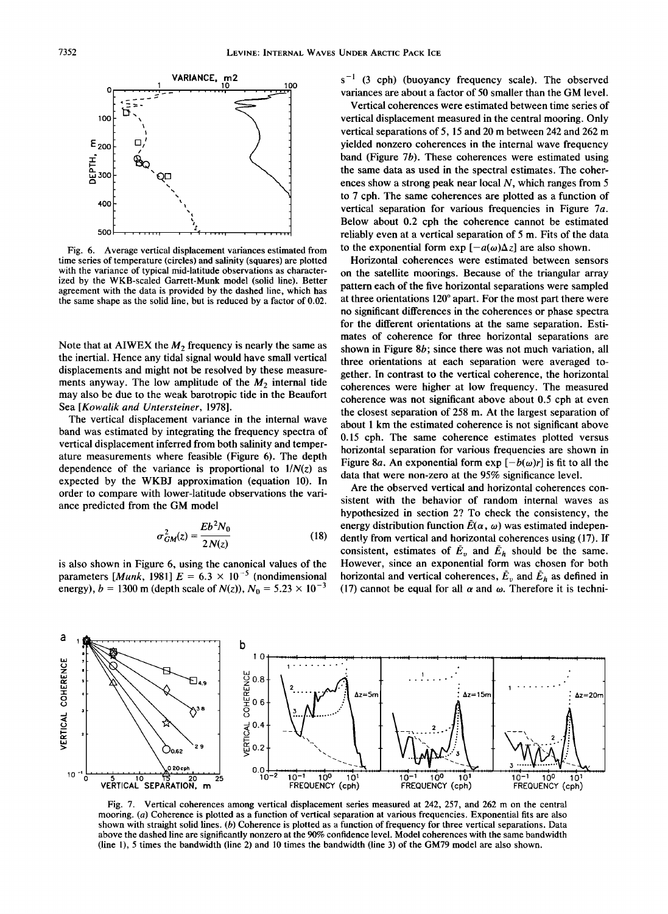

**Fig. 6. Average vertical displacement variances estimated from time series of temperature (circles) and salinity (squares) are plotted with the variance of typical mid-latitude observations as characterized by the WKB-scaled Garrett-Munk model (solid line). Better agreement with the data is provided by the dashed line, which has the same shape as the solid line, but is reduced by a factor of 0.02.** 

Note that at AIWEX the  $M_2$  frequency is nearly the same as **the inertial. Hence any tidal signal would have small vertical displacements and might not be resolved by these measure**ments anyway. The low amplitude of the  $M_2$  internal tide **may also be due to the weak barotropic tide in the Beaufort Sea [Kowalik and Untersteiner, 1978].** 

**The vertical displacement variance in the internal wave band was estimated by integrating the frequency spectra of vertical displacement inferred from both salinity and temperature measurements where feasible (Figure 6). The depth dependence of the variance is proportional to 1/N(z) as expected by the WKBJ approximation (equation 10). In order to compare with lower-latitude observations the variance predicted from the GM model** 

$$
\sigma_{GM}^2(z) = \frac{Eb^2N_0}{2N(z)}
$$
 (18)

**is also shown in Figure 6, using the canonical values of the**  parameters [*Munk*, 1981]  $E = 6.3 \times 10^{-5}$  (nondimensional energy),  $b = 1300$  m (depth scale of  $N(z)$ ),  $N_0 = 5.23 \times 10^{-3}$ 

 $s^{-1}$  (3 cph) (buoyancy frequency scale). The observed **variances are about a factor of 50 smaller than the GM level.** 

**Vertical coherences were estimated between time series of vertical displacement measured in the central mooring. Only vertical separations of 5, 15 and 20 m between 242 and 262 m yielded nonzero coherences in the internal wave frequency band (Figure 7b). These coherences were estimated using the same data as used in the spectral estimates. The coherences show a strong peak near local N, which ranges from 5 to 7 cph. The same coherences are plotted as a function of vertical separation for various frequencies in Figure 7a. Below about 0.2 cph the coherence cannot be estimated reliably even at a vertical separation of 5 m. Fits of the data**  to the exponential form  $\exp[-a(\omega)\Delta z]$  are also shown.

**Horizontal coherences were estimated between sensors on the satellite moorings. Because of the triangular array pattern each of the five horizontal separations were sampled at three orientations 120 ø apart. For the most part there were no significant differences in the coherences or phase spectra for the different orientations at the same separation. Estimates of coherence for three horizontal separations are shown in Figure 8b; since there was not much variation, all three orientations at each separation were averaged together. In contrast to the vertical coherence, the horizontal coherences were higher at low frequency. The measured coherence was not significant above about 0.5 cph at even the closest separation of 258 m. At the largest separation of about 1 km the estimated coherence is not significant above 0.15 cph. The same coherence estimates plotted versus horizontal separation for various frequencies are shown in**  Figure 8a. An exponential form  $exp[-b(\omega)r]$  is fit to all the **data that were non-zero at the 95% significance level.** 

**Are the observed vertical and horizontal coherences consistent with the behavior of random internal waves as hypothesized in section 2? To check the consistency, the**  energy distribution function  $\bar{E}(\alpha, \omega)$  was estimated indepen**dently from vertical and horizontal coherences using (17). If**  consistent, estimates of  $\bar{E}_v$  and  $\bar{E}_h$  should be the same. **However, since an exponential form was chosen for both horizontal and vertical coherences,**  $\bar{E}_v$  **and**  $\bar{E}_h$  **as defined in** (17) cannot be equal for all  $\alpha$  and  $\omega$ . Therefore it is techni-



**Fig. 7. Vertical coherences among vertical displacement series measured at 242, 257, and 262 m on the central mooring. (a) Coherence is plotted as a function of vertical separation at various frequencies. Exponential fits are also shown with straight solid lines. (b) Coherence is plotted as a function of frequency for three vertical separations. Data above the dashed line are significantly nonzero at the 90% confidence level. Model coherences with the same bandwidth (line 1), 5 times the bandwidth (line 2) and 10 times the bandwidth (line 3) of the GM79 model are also shown.**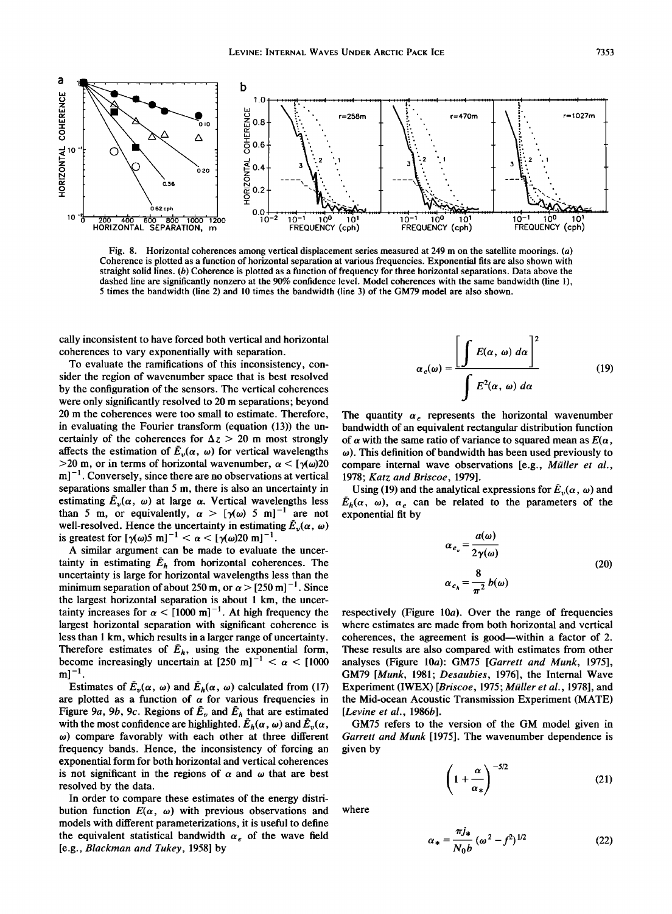

**Fig. 8. Horizontal coherences among vertical displacement series measured at 249 m on the satellite moorings. (a) Coherence is plotted as a function of horizontal separation at various frequencies. Exponential fits are also shown with straight solid lines. (b) Coherence is plotted as a function of frequency for three horizontal separations. Data above the dashed line are significantly nonzero at the 90% confidence level. Model coherences with the same bandwidth (line 1), 5 times the bandwidth (line 2) and 10 times the bandwidth (line 3) of the GM79 model are also shown.** 

**cally inconsistent to have forced both vertical and horizontal coherences to vary exponentially with separation.** 

**To evaluate the ramifications of this inconsistency, consider the region of wavenumber space that is best resolved by the configuration of the sensors. The vertical coherences were only significantly resolved to 20 m separations; beyond 20 m the coherences were too small to estimate. Therefore, in evaluating the Fourier transform (equation (13)) the un**certainly of the coherences for  $\Delta z > 20$  m most strongly affects the estimation of  $\bar{E}_{\nu}(\alpha, \omega)$  for vertical wavelengths  $>20$  m, or in terms of horizontal wavenumber,  $\alpha < [\gamma(\omega)20]$ **m] -1 . Conversely, since there are no observations at vertical separations smaller than 5 m, there is also an uncertainty in**  estimating  $\bar{E}_v(\alpha, \omega)$  at large  $\alpha$ . Vertical wavelengths less than 5 m, or equivalently,  $\alpha > [\gamma(\omega) 5 m]^{-1}$  are not well-resolved. Hence the uncertainty in estimating  $\tilde{E}_v(\alpha, \omega)$ is greatest for  $[\gamma(\omega)5 \text{ m}]^{-1} < \alpha < [\gamma(\omega)20 \text{ m}]^{-1}$ .

**A similar argument can be made to evaluate the uncer**tainty in estimating  $\bar{E}_h$  from horizontal coherences. The **uncertainty is large for horizontal wavelengths less than the**  minimum separation of about 250 m, or  $\alpha$  > [250 m]<sup>-1</sup>. Since **the largest horizontal separation is about 1 km, the uncer**tainty increases for  $\alpha$  < [1000 m]<sup>-1</sup>. At high frequency the **largest horizontal separation with significant coherence is less than 1 km, which results in a larger range of uncertainty.**  Therefore estimates of  $\bar{E}_h$ , using the exponential form, become increasingly uncertain at  $[250 \text{ m}]^{-1} < \alpha < [1000$  $m$ <sup>-1</sup>.

Estimates of  $\bar{E}_v(\alpha, \omega)$  and  $\bar{E}_h(\alpha, \omega)$  calculated from (17) are plotted as a function of  $\alpha$  for various frequencies in Figure 9a, 9b, 9c. Regions of  $\bar{E}_v$  and  $\bar{E}_h$  that are estimated with the most confidence are highlighted.  $\bar{E}_h(\alpha, \omega)$  and  $\bar{E}_v(\alpha, \omega)$ **to) compare favorably with each other at three different frequency bands. Hence, the inconsistency of forcing an exponential form for both horizontal and vertical coherences**  is not significant in the regions of  $\alpha$  and  $\omega$  that are best **resolved by the data.** 

**In order to compare these estimates of the energy distri**bution function  $E(\alpha, \omega)$  with previous observations and **models with different parameterizations, it is useful to define**  the equivalent statistical bandwidth  $\alpha_e$  of the wave field **[e.g., Blackman and Tukey, 1958] by** 

$$
\alpha_e(\omega) = \frac{\left[\int E(\alpha, \omega) \, d\alpha\right]^2}{\int E^2(\alpha, \omega) \, d\alpha} \tag{19}
$$

The quantity  $\alpha_e$  represents the horizontal wavenumber **bandwidth of an equivalent rectangular distribution function**  of  $\alpha$  with the same ratio of variance to squared mean as  $E(\alpha)$ , **to). This definition of bandwidth has been used previously to**  compare internal wave observations [e.g., *Müller et al.*, **1978; Katz and Briscoe, 1979].** 

Using (19) and the analytical expressions for  $\bar{E}_v(\alpha, \omega)$  and  $\bar{E}_h(\alpha, \omega)$ ,  $\alpha_e$  can be related to the parameters of the **exponential fit by** 

$$
\alpha_{e_v} = \frac{a(\omega)}{2\gamma(\omega)}
$$
  
\n
$$
\alpha_{e_h} = \frac{8}{\pi^2} b(\omega)
$$
 (20)

**respectively (Figure 10a). Over the range of frequencies where estimates are made from both horizontal and vertical coherences, the agreement is good--within a factor of 2. These results are also compared with estimates from other analyses (Figure 10a): GM75 [Garrett and Munk, 1975], GM79 [Munk, 1981; Desaubies, 1976], the Internal Wave**  Experiment (IWEX) [Briscoe, 1975; Müller et al., 1978], and **the Mid-ocean Acoustic Transmission Experiment (MATE) [Levine et al., 1986b].** 

**GM75 refers to the version of the GM model given in Garrett and Munk [1975]. The wavenumber dependence is given by** 

$$
\left(1+\frac{\alpha}{\alpha_*}\right)^{-5/2} \tag{21}
$$

**where** 

$$
\alpha_* = \frac{\pi j_*}{N_0 b} \left( \omega^2 - f^2 \right)^{1/2} \tag{22}
$$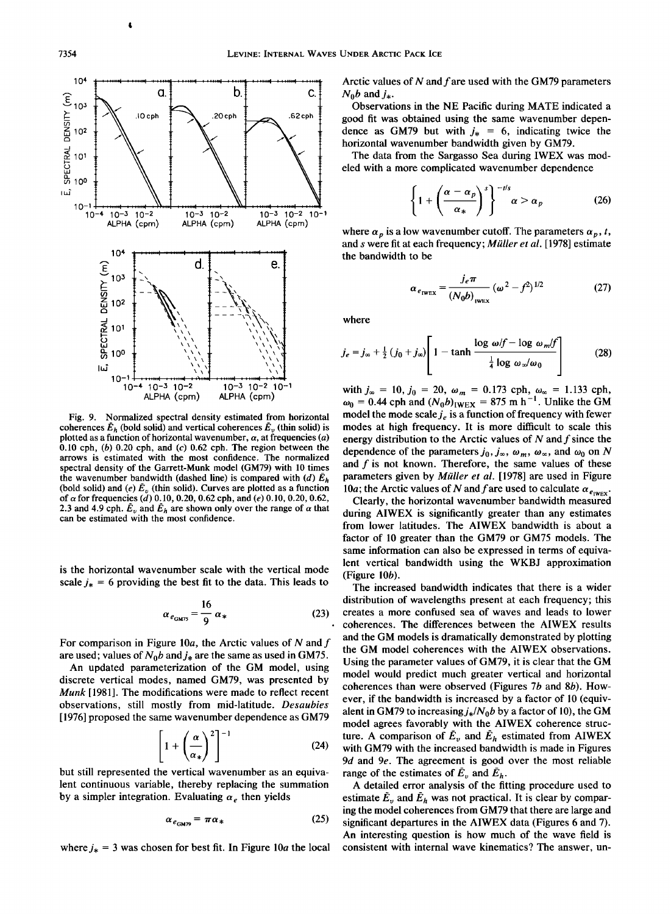

**Fig. 9. Normalized spectral density estimated from horizontal**  coherences  $\bar{E}_h$  (bold solid) and vertical coherences  $\bar{E}_v$  (thin solid) is plotted as a function of horizontal wavenumber,  $\alpha$ , at frequencies  $(a)$ **0.10 cph, (b) 0.20 cph, and (c) 0.62 cph. The region between the arrows is estimated with the most confidence. The normalized spectral density of the Garrett-Munk model (GM79) with 10 times**  the wavenumber bandwidth (dashed line) is compared with (d)  $\bar{E}_h$ (bold solid) and (e)  $\bar{E}_v$  (thin solid). Curves are plotted as a function **of a for frequencies (d) 0.10, 0.20, 0.62 cph, and (e) 0.10, 0.20, 0.62,**  2.3 and 4.9 cph.  $\bar{E}_v$  and  $\bar{E}_h$  are shown only over the range of  $\alpha$  that **can be estimated with the most confidence.** 

**is the horizontal wavenumber scale with the vertical mode**  scale  $j_* = 6$  providing the best fit to the data. This leads to

$$
\alpha_{e_{\text{GMT5}}} = \frac{16}{9} \alpha_* \tag{23}
$$

For comparison in Figure 10a, the Arctic values of N and f are used; values of  $N_0b$  and  $j_*$  are the same as used in GM75.

**An updated parameterization of the GM model, using discrete vertical modes, named GM79, was presented by Munk [1981]. The modifications were made to reflect recent observations, still mostly from mid-latitude. Desaubies [1976] proposed the same wavenumber dependence as GM79** 

$$
\left[1+\left(\frac{\alpha}{\alpha_*}\right)^2\right]^{-1} \tag{24}
$$

**but still represented the vertical wavenumber as an equivalent continuous variable, thereby replacing the summation**  by a simpler integration. Evaluating  $\alpha_e$  then yields

$$
\alpha_{e_{\text{GMP9}}} = \pi \alpha_* \tag{25}
$$

where  $j_* = 3$  was chosen for best fit. In Figure 10*a* the local

**Arctic values of N and f are used with the GM79 parameters**   $N_0 b$  and  $j_*$ .

**become but was obtained using the same wavenumber dependence as GM79 but with**  $j_* = 6$ **, indicating twice the Observations in the NE Pacific during MATE indicated a good fit was obtained using the same wavenumber depenhorizontal wavenumber bandwidth given by GM79.** 

**The data from the Sargasso Sea during IWEX was modeled with a more complicated wavenumber dependence** 

$$
\left\{1+\left(\frac{\alpha-\alpha_p}{\alpha_*}\right)^s\right\}^{-t/s}\alpha>\alpha_p\tag{26}
$$

where  $\alpha_p$  is a low wavenumber cutoff. The parameters  $\alpha_p$ , t, and *s* were fit at each frequency; Müller et al. [1978] estimate **the bandwidth to be** 

$$
\alpha_{e_{\text{IWEX}}} = \frac{j_e \pi}{\left(N_0 b\right)_{\text{IWEX}}} \left(\omega^2 - f^2\right)^{1/2} \tag{27}
$$

**where** 

$$
j_e = j_{\infty} + \frac{1}{2} (j_0 + j_{\infty}) \left[ 1 - \tanh \frac{\log \omega/f - \log \omega_m/f}{\frac{1}{4} \log \omega_{\infty}/\omega_0} \right]
$$
 (28)

with  $j_{\infty} = 10$ ,  $j_0 = 20$ ,  $\omega_m = 0.1/3$  cph,  $\omega_{\infty} = 1.133$  cph,  $\omega_0 = 0.44$  cph and  $(N_0b)_{i \text{WEX}} = 875 \text{ m h}^{-1}$ . Unlike the GM model the mode scale  $j_e$  is a function of frequency with fewer **modes at high frequency. It is more difficult to scale this energy distribution to the Arctic values of N and f since the**  dependence of the parameters  $j_0$ ,  $j_\infty$ ,  $\omega_m$ ,  $\omega_\infty$ , and  $\omega_0$  on N **and f is not known. Therefore, the same values of these**  parameters given by *Müller et al.* [1978] are used in Figure 10a; the Arctic values of N and f are used to calculate  $\alpha_{e_{\text{IWEX}}}$ .

**Clearly, the horizontal wavenumber bandwidth measured during AIWEX is significantly greater than any estimates from lower latitudes. The AIWEX bandwidth is about a factor of 10 greater than the GM79 or GM75 models. The same information can also be expressed in terms of equivalent vertical bandwidth using the WKBJ approximation (Figure 10b).** 

**The increased bandwidth indicates that there is a wider distribution of wavelengths present at each frequency; this creates a more confused sea of waves and leads to lower coherences. The differences between the AIWEX results and the GM models is dramatically demonstrated by plotting the GM model coherences with the AIWEX observations. Using the parameter values of GM79, it is clear that the GM model would predict much greater vertical and horizontal coherences than were observed (Figures 7b and 8b). However, if the bandwidth is increased by a factor of 10 (equiv**alent in GM79 to increasing  $j_*/N_0b$  by a factor of 10), the GM **model agrees favorably with the AIWEX coherence struc**ture. A comparison of  $\bar{E}_v$  and  $\bar{E}_h$  estimated from AIWEX **with GM79 with the increased bandwidth is made in Figures 9d and 9e. The agreement is good over the most reliable**  range of the estimates of  $\bar{E}_v$  and  $\bar{E}_h$ .

**A detailed error analysis of the fitting procedure used to**  estimate  $\tilde{E}_v$  and  $\tilde{E}_h$  was not practical. It is clear by compar**ing the model coherences from GM79 that there are large and significant departures in the AIWEX data (Figures 6 and 7). An interesting question is how much of the wave field is consistent with internal wave kinematics? The answer, un-**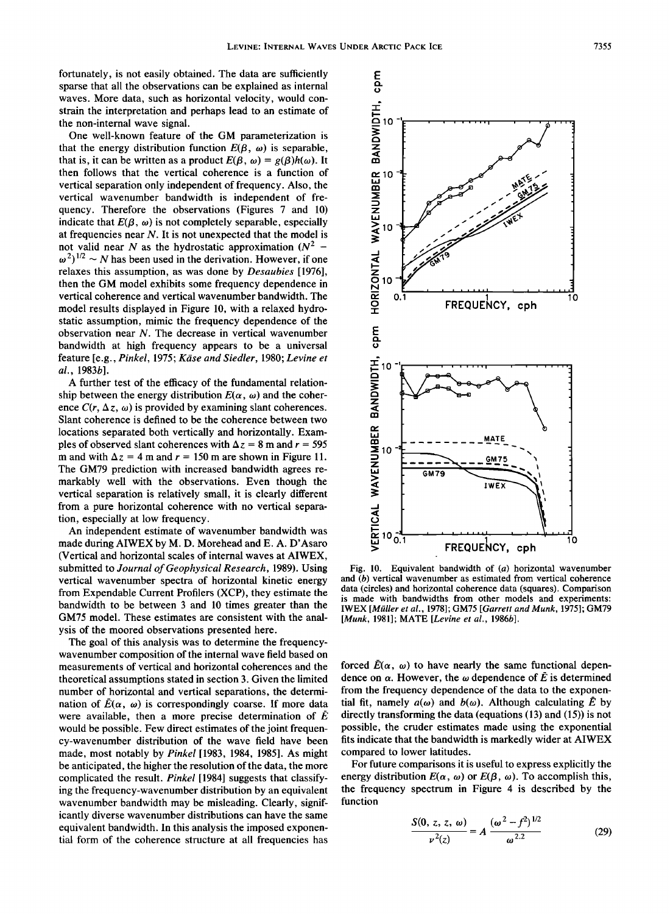**fortunately, is not easily obtained. The data are sufficiently sparse that all the observations can be explained as internal waves. More data, such as horizontal velocity, would constrain the interpretation and perhaps lead to an estimate of the non-internal wave signal.** 

**One well-known feature of the GM parameterization is**  that the energy distribution function  $E(\beta, \omega)$  is separable, that is, it can be written as a product  $E(\beta, \omega) = g(\beta)h(\omega)$ . It **then follows that the vertical coherence is a function of vertical separation only independent of frequency. Also, the vertical wavenumber bandwidth is independent of frequency. Therefore the observations (Figures 7 and 10)**  indicate that  $E(\beta, \omega)$  is not completely separable, especially **at frequencies near N. It is not unexpected that the model is**  not valid near N as the hydrostatic approximation  $(N^2 \omega^2$ <sup>1/2</sup> ~ N has been used in the derivation. However, if one **relaxes this assumption, as was done by Desaubies [1976], then the GM model exhibits some frequency dependence in vertical coherence and vertical wavenumber bandwidth. The model results displayed in Figure 10, with a relaxed hydrostatic assumption, mimic the frequency dependence of the observation near N. The decrease in vertical wavenumber bandwidth at high frequency appears to be a universal feature [e.g., Pinkel, 1975; Kiise and Siedler, 1980; Levine et al., 1983b].** 

**A further test of the efficacy of the fundamental relation**ship between the energy distribution  $E(\alpha, \omega)$  and the coherence  $C(r, \Delta z, \omega)$  is provided by examining slant coherences. **Slant coherence is defined to be the coherence between two locations separated both vertically and horizontally. Exam**ples of observed slant coherences with  $\Delta z = 8$  m and  $r = 595$ **m** and with  $\Delta z = 4$  m and  $r = 150$  m are shown in Figure 11. **The GM79 prediction with increased bandwidth agrees remarkably well with the observations. Even though the vertical separation is relatively small, it is clearly different from a pure horizontal coherence with no vertical separation, especially at low frequency.** 

**An independent estimate of wavenumber bandwidth was made during AIWEX by M.D. Morehead and E. A. D'Asaro (Vertical and horizontal scales of internal waves at AIWEX, submitted to Journal of Geophysical Research, 1989). Using vertical wavenumber spectra of horizontal kinetic energy from Expendable Current Profilers (XCP), they estimate the bandwidth to be between 3 and 10 times greater than the GM7\$ model. These estimates are consistent with the analysis of the moored observations presented here.** 

**The goal of this analysis was to determine the frequencywavenumber composition of the internal wave field based on measurements of vertical and horizontal coherences and the theoretical assumptions stated in section 3. Given the limited number of horizontal and vertical separations, the determination of**  $\bar{E}(\alpha, \omega)$  **is correspondingly coarse. If more data** were available, then a more precise determination of  $\overline{E}$ **would be possible. Few direct estimates of the joint frequency-wavenumber distribution of the wave field have been made, most notably by Pinkel [1983, 1984, 1985]. As might be anticipated, the higher the resolution of the data, the more complicated the result. Pinkel [1984] suggests that classifying the frequency-wavenumber distribution by an equivalent wavenumber bandwidth may be misleading. Clearly, significantly diverse wavenumber distributions can have the same equivalent bandwidth. In this analysis the imposed exponential form of the coherence structure at all frequencies has** 



**Fig. 10. Equivalent bandwidth of (a) horizontal wavenumber and (b) vertical wavenumber as estimated from vertical coherence data (circles) and horizontal coherence data (squares). Comparison is made with bandwidths from other models and experiments: IWEX [Ml•ller et al., 1978]; GM75 [Garrett and Munk, 1975]; GM79 [Munk, 1981]; MATE [Levine et al., 1986b].** 

forced  $\bar{E}(\alpha, \omega)$  to have nearly the same functional dependence on  $\alpha$ . However, the  $\omega$  dependence of  $\vec{E}$  is determined **from the frequency dependence of the data to the exponen**tial fit, namely  $a(\omega)$  and  $b(\omega)$ . Although calculating  $\tilde{E}$  by **directly transforming the data (equations (13) and (15)) is not possible, the cruder estimates made using the exponential fits indicate that the bandwidth is markedly wider at AIWEX compared to lower latitudes.** 

**For future comparisons it is useful to express explicitly the**  energy distribution  $E(\alpha, \omega)$  or  $E(\beta, \omega)$ . To accomplish this, **the frequency spectrum in Figure 4 is described by the function** 

$$
\frac{S(0, z, z, \omega)}{\nu^2(z)} = A \frac{(\omega^2 - f^2)^{1/2}}{\omega^{2.2}}
$$
(29)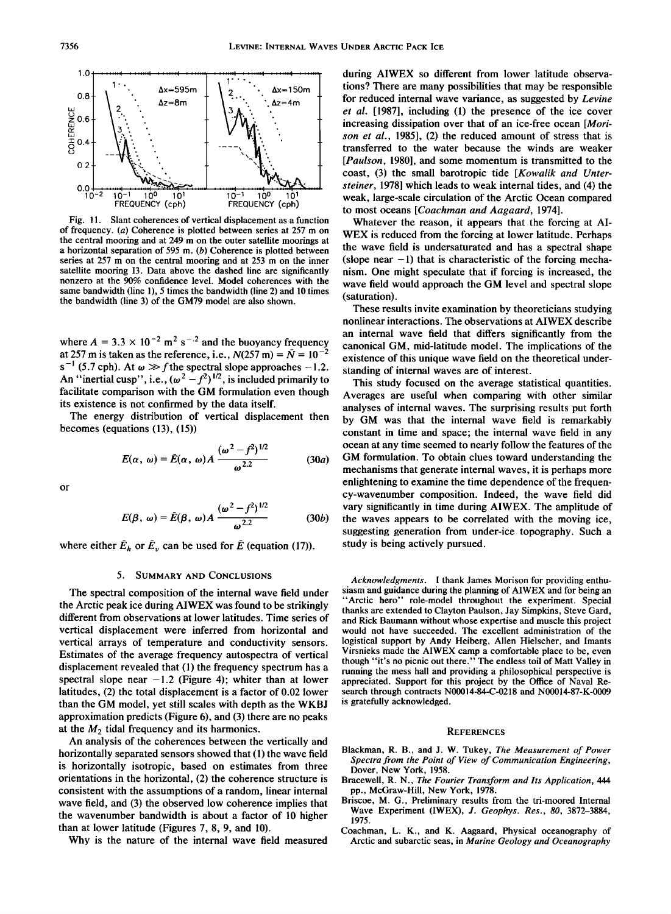

**Fig. 11. Slant coherences of vertical displacement as a function of frequency. (a) Coherence is plotted between series at 257 m on the central mooring and at 249 m on the outer satellite moorings at a horizontal separation of 595 m. (b) Coherence is plotted between series at 257 m on the central mooring and at 253 m on the inner satellite mooring I3. Data above the dashed line are significantly nonzero at the 90% confidence level. Model coherences with the same bandwidth (line 1), 5 times the bandwidth (line 2) and 10 times the bandwidth (line 3) of the GM79 model are also shown.** 

where  $A = 3.3 \times 10^{-2}$  m<sup>2</sup> s<sup>-.2</sup> and the buoyancy frequency at 257 m is taken as the reference, i.e.,  $N(257 \text{ m}) = \overline{N} = 10^{-7}$  $s^{-1}$  (5.7 cph). At  $\omega \gg f$  the spectral slope approaches -1.2. An "inertial cusp", i.e.,  $(\omega^2 - f^2)^{1/2}$ , is included primarily to **facilitate comparison with the GM formulation even though**  its existence is not confirmed by the data itself.

**The energy distribution of vertical displacement then becomes (equations (13), (15))** 

$$
E(\alpha, \omega) = \bar{E}(\alpha, \omega) A \frac{(\omega^2 - f^2)^{1/2}}{\omega^{2.2}}
$$
 (30*a*)

**or** 

$$
E(\beta, \omega) = \bar{E}(\beta, \omega) A \frac{(\omega^2 - f^2)^{1/2}}{\omega^{2.2}}
$$
 (30*b*)

where either  $\bar{E}_h$  or  $\bar{E}_v$  can be used for  $\bar{E}$  (equation (17)).

#### **5. SUMMARY AND CONCLUSIONS**

**The spectral composition of the internal wave field under the Arctic peak ice during AIWEX was found to be strikingly different from observations at lower latitudes. Time series of vertical displacement were inferred from horizontal and vertical arrays of temperature and conductivity sensors. Estimates of the average frequency autospectra of vertical displacement revealed that (1) the frequency spectrum has a**  spectral slope near  $-1.2$  (Figure 4); whiter than at lower **latitudes, (2) the total displacement is a factor of 0.02 lower than the GM model, yet still scales with depth as the WKBJ approximation predicts (Figure 6), and (3) there are no peaks**  at the  $M_2$  tidal frequency and its harmonics.

**An analysis of the coherences between the vertically and horizontally separated sensors showed that (1) the wave field is horizontally isotropic, based on estimates from three orientations in the horizontal, (2) the coherence structure is consistent with the assumptions of a random, linear internal wave field, and (3) the observed low coherence implies that the wavenumber bandwidth is about a factor of 10 higher than at lower latitude (Figures 7, 8, 9, and 10).** 

**Why is the nature of the internal wave field measured** 

 $\begin{array}{c}\n \begin{array}{c}\n 3 \\
 \hline\n 4\n \end{array} \\
 \begin{array}{c}\n \end{array} \\
 \begin{array}{c}\n \end{array} \\
 \begin{array}{c}\n \end{array} \\
 \begin{array}{c}\n \end{array} \\
 \begin{array}{c}\n \end{array} \\
 \begin{array}{c}\n \end{array} \\
 \begin{array}{c}\n \end{array} \\
 \begin{array}{c}\n \end{array} \\
 \begin{array}{c}\n \end{array} \\
 \begin{array}{c}\n \end{array} \\
 \begin{array}{c}\n \end{array} \\
 \begin{array}{c}\n \end{array} \\
 \begin{array}{c}\n \end{array} \\
 \begin{array}{c$ **during AIWEX so different from lower latitude observations? There are many possibilities that may be responsible for reduced internal wave variance, as suggested by Levine et al. [1987], including (1) the presence of the ice cover increasing dissipation over that of an ice-free ocean [Morison et al., 1985], (2) the reduced amount of stress that is transferred to the water because the winds are weaker [Paulson, 1980], and some momentum is transmitted to the coast, (3) the small barotropic tide [Kowalik and Untersteiner, 1978] which leads to weak internal tides, and (4) the weak, large-scale circulation of the Arctic Ocean compared to most oceans [Coachman and Aagaard, 1974].** 

**Whatever the reason, it appears that the forcing at AI-WEX is reduced from the forcing at lower latitude. Perhaps the wave field is undersaturated and has a spectral shape (slope near -1) that is characteristic of the forcing mechanism. One might speculate that if forcing is increased, the wave field would approach the GM level and spectral slope (saturation).** 

**These results invite examination by theoreticians studying nonlinear interactions. The observations at AIWEX describe an internal wave field that differs significantly from the canonical GM, mid-latitude model. The implications of the existence of this unique wave field on the theoretical understanding of internal waves are of interest.** 

**This study focused on the average statistical quantities. Averages are useful when comparing with other similar analyses of internal waves. The surprising results put forth by GM was that the internal wave field is remarkably constant in time and space; the internal wave field in any ocean at any time seemed to nearly follow the features of the GM formulation. To obtain clues toward understanding the mechanisms that generate internal waves, it is perhaps more enlightening to examine the time dependence of the frequency-wavenumber composition. Indeed, the wave field did vary significantly in time during AIWEX. The amplitude of the waves appears to be correlated with the moving ice, suggesting generation from under-ice topography. Such a study is being actively pursued.** 

**Acknowledgments. I thank James Morison for providing enthusiasm and guidance during the planning of AIWEX and for being an "Arctic hero" role-model throughout the experiment. Special thanks are extended to Clayton Paulson, Jay Simpkins, Steve Gard, and Rick Baumann without whose expertise and muscle this project would not have succeeded. The excellent administration of the logistical support by Andy Heiberg, Allen Hielscher, and Imants Virsnieks made the AIWEX camp a comfortable place to be, even though "it's no picnic out there." The endless toil of Matt Valley in running the mess hall and providing a philosophical perspective is appreciated. Support for this project by the Office of Naval Research through contracts N00014-84-C-0218 and N00014-87-K-0009 is gratefully acknowledged.** 

#### **REFERENCES**

- **Blackman, R. B., and J. W. Tukey, The Measurement of Power Spectra from the Point of View of Communication Engineering, Dover, New York, 1958.**
- **Bracewell, R. N., The Fourier Transform and Its Application, 444 pp., McGraw-Hill, New York, 1978.**
- **Briscoe, M. G., Preliminary results from the tri-moored Internal Wave Experiment (IWEX), J. Geophys. Res., 80, 3872-3884, 1975.**
- **Coachman, L. K., and K. Aagaard, Physical oceanography of Arctic and subarctic seas, in Marine Geology and Oceanography**